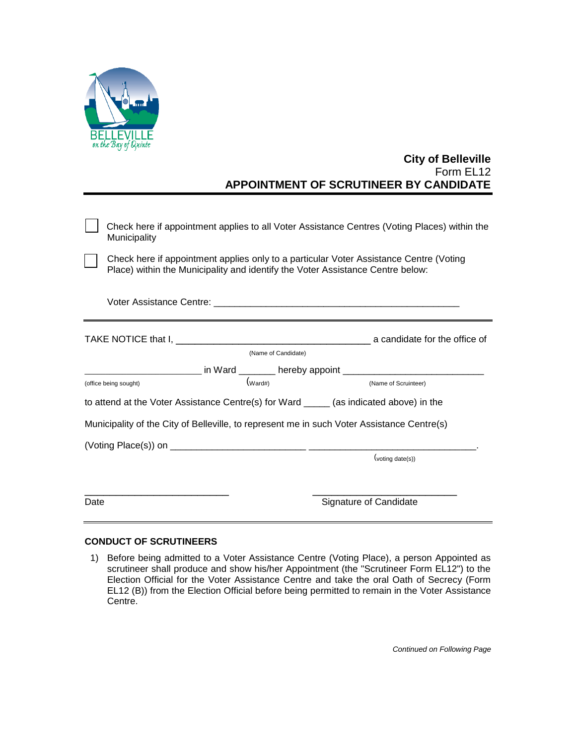

## **City of Belleville** Form EL12 **APPOINTMENT OF SCRUTINEER BY CANDIDATE**

| Check here if appointment applies to all Voter Assistance Centres (Voting Places) within the<br>Municipality |                                                                                                                                                                          |                     |                                                                            |                  |  |
|--------------------------------------------------------------------------------------------------------------|--------------------------------------------------------------------------------------------------------------------------------------------------------------------------|---------------------|----------------------------------------------------------------------------|------------------|--|
|                                                                                                              | Check here if appointment applies only to a particular Voter Assistance Centre (Voting<br>Place) within the Municipality and identify the Voter Assistance Centre below: |                     |                                                                            |                  |  |
|                                                                                                              | Voter Assistance Centre: Version of the Control of the Control of the Control of the Control of the Control of                                                           |                     |                                                                            |                  |  |
|                                                                                                              |                                                                                                                                                                          |                     |                                                                            |                  |  |
|                                                                                                              |                                                                                                                                                                          | (Name of Candidate) |                                                                            |                  |  |
|                                                                                                              |                                                                                                                                                                          |                     | __________________ in Ward ________ hereby appoint _______________________ |                  |  |
| (w <sub>ard#</sub> )<br>(office being sought)                                                                |                                                                                                                                                                          |                     | (Name of Scruinteer)                                                       |                  |  |
| to attend at the Voter Assistance Centre(s) for Ward ______ (as indicated above) in the                      |                                                                                                                                                                          |                     |                                                                            |                  |  |
|                                                                                                              | Municipality of the City of Belleville, to represent me in such Voter Assistance Centre(s)                                                                               |                     |                                                                            |                  |  |
|                                                                                                              |                                                                                                                                                                          |                     |                                                                            |                  |  |
|                                                                                                              |                                                                                                                                                                          |                     |                                                                            | (voting date(s)) |  |
| Date                                                                                                         |                                                                                                                                                                          |                     | Signature of Candidate                                                     |                  |  |

## **CONDUCT OF SCRUTINEERS**

1) Before being admitted to a Voter Assistance Centre (Voting Place), a person Appointed as scrutineer shall produce and show his/her Appointment (the "Scrutineer Form EL12") to the Election Official for the Voter Assistance Centre and take the oral Oath of Secrecy (Form EL12 (B)) from the Election Official before being permitted to remain in the Voter Assistance Centre.

*Continued on Following Page*